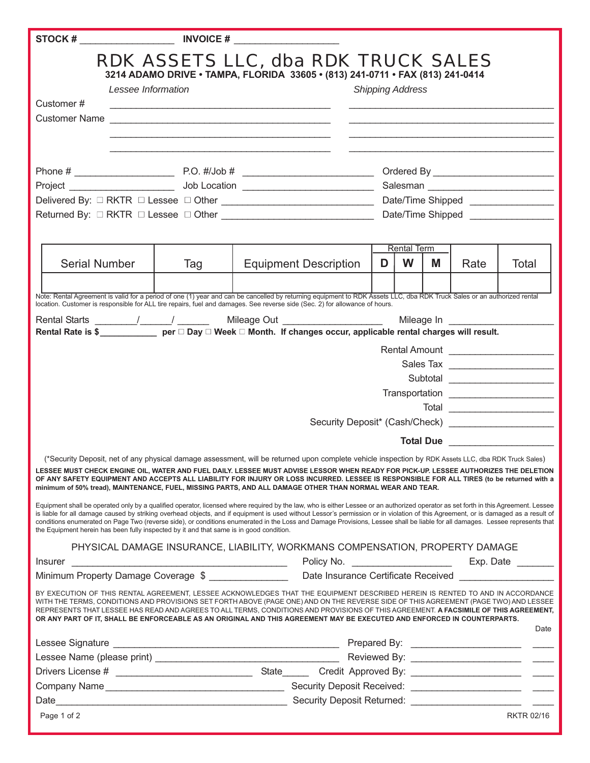| Customer#<br>Customer Name                                                                                                                                                                                                                                                                                                                                                                                                                                                                                                                                                                                                                                                                                                                                                                                                                                                                                    | Lessee Information | the control of the control of the control of the control of the control of the control of the control of the control of the control of the control of the control of the control of the control of the control of the control |                                                                                                            | RDK ASSETS LLC, dba RDK TRUCK SALES<br>3214 ADAMO DRIVE · TAMPA, FLORIDA 33605 · (813) 241-0711 · FAX (813) 241-0414 | <b>Shipping Address</b> |                         |   |               |                   |
|---------------------------------------------------------------------------------------------------------------------------------------------------------------------------------------------------------------------------------------------------------------------------------------------------------------------------------------------------------------------------------------------------------------------------------------------------------------------------------------------------------------------------------------------------------------------------------------------------------------------------------------------------------------------------------------------------------------------------------------------------------------------------------------------------------------------------------------------------------------------------------------------------------------|--------------------|-------------------------------------------------------------------------------------------------------------------------------------------------------------------------------------------------------------------------------|------------------------------------------------------------------------------------------------------------|----------------------------------------------------------------------------------------------------------------------|-------------------------|-------------------------|---|---------------|-------------------|
|                                                                                                                                                                                                                                                                                                                                                                                                                                                                                                                                                                                                                                                                                                                                                                                                                                                                                                               |                    |                                                                                                                                                                                                                               |                                                                                                            | Date/Time Shipped _________________                                                                                  |                         |                         |   |               |                   |
| <b>Serial Number</b>                                                                                                                                                                                                                                                                                                                                                                                                                                                                                                                                                                                                                                                                                                                                                                                                                                                                                          |                    | Tag                                                                                                                                                                                                                           | <b>Equipment Description</b>                                                                               |                                                                                                                      | D                       | <b>Rental Term</b><br>W | M | Rate<br>Total |                   |
|                                                                                                                                                                                                                                                                                                                                                                                                                                                                                                                                                                                                                                                                                                                                                                                                                                                                                                               |                    |                                                                                                                                                                                                                               |                                                                                                            |                                                                                                                      |                         |                         |   |               |                   |
| location. Customer is responsible for ALL tire repairs, fuel and damages. See reverse side (Sec. 2) for allowance of hours.<br>Rental Rate is \$______________ per □ Day □ Week □ Month. If changes occur, applicable rental charges will result.<br>Subtotal ______________________<br>Total _________________________<br>Security Deposit* (Cash/Check) ________________________<br>Total Due<br>(*Security Deposit, net of any physical damage assessment, will be returned upon complete vehicle inspection by RDK Assets LLC, dba RDK Truck Sales)<br>LESSEE MUST CHECK ENGINE OIL, WATER AND FUEL DAILY. LESSEE MUST ADVISE LESSOR WHEN READY FOR PICK-UP. LESSEE AUTHORIZES THE DELETION                                                                                                                                                                                                               |                    |                                                                                                                                                                                                                               |                                                                                                            |                                                                                                                      |                         |                         |   |               |                   |
| OF ANY SAFETY EQUIPMENT AND ACCEPTS ALL LIABILITY FOR INJURY OR LOSS INCURRED. LESSEE IS RESPONSIBLE FOR ALL TIRES (to be returned with a<br>minimum of 50% tread), MAINTENANCE, FUEL, MISSING PARTS, AND ALL DAMAGE OTHER THAN NORMAL WEAR AND TEAR.<br>Equipment shall be operated only by a qualified operator, licensed where required by the law, who is either Lessee or an authorized operator as set forth in this Agreement. Lessee<br>is liable for all damage caused by striking overhead objects, and if equipment is used without Lessor's permission or in violation of this Agreement, or is damaged as a result of<br>conditions enumerated on Page Two (reverse side), or conditions enumerated in the Loss and Damage Provisions, Lessee shall be liable for all damages. Lessee represents that<br>the Equipment herein has been fully inspected by it and that same is in good condition. |                    |                                                                                                                                                                                                                               |                                                                                                            |                                                                                                                      |                         |                         |   |               |                   |
|                                                                                                                                                                                                                                                                                                                                                                                                                                                                                                                                                                                                                                                                                                                                                                                                                                                                                                               |                    |                                                                                                                                                                                                                               |                                                                                                            | PHYSICAL DAMAGE INSURANCE, LIABILITY, WORKMANS COMPENSATION, PROPERTY DAMAGE                                         |                         |                         |   |               |                   |
| <b>Insurer</b>                                                                                                                                                                                                                                                                                                                                                                                                                                                                                                                                                                                                                                                                                                                                                                                                                                                                                                |                    |                                                                                                                                                                                                                               |                                                                                                            |                                                                                                                      |                         |                         |   |               |                   |
|                                                                                                                                                                                                                                                                                                                                                                                                                                                                                                                                                                                                                                                                                                                                                                                                                                                                                                               |                    |                                                                                                                                                                                                                               | Minimum Property Damage Coverage \$ __________________ Date Insurance Certificate Received _______________ |                                                                                                                      |                         |                         |   |               |                   |
| BY EXECUTION OF THIS RENTAL AGREEMENT, LESSEE ACKNOWLEDGES THAT THE EQUIPMENT DESCRIBED HEREIN IS RENTED TO AND IN ACCORDANCE<br>WITH THE TERMS, CONDITIONS AND PROVISIONS SET FORTH ABOVE (PAGE ONE) AND ON THE REVERSE SIDE OF THIS AGREEMENT (PAGE TWO) AND LESSEE<br>REPRESENTS THAT LESSEE HAS READ AND AGREES TO ALL TERMS, CONDITIONS AND PROVISIONS OF THIS AGREEMENT. A FACSIMILE OF THIS AGREEMENT,<br>OR ANY PART OF IT, SHALL BE ENFORCEABLE AS AN ORIGINAL AND THIS AGREEMENT MAY BE EXECUTED AND ENFORCED IN COUNTERPARTS.                                                                                                                                                                                                                                                                                                                                                                      |                    |                                                                                                                                                                                                                               |                                                                                                            |                                                                                                                      |                         |                         |   |               | Date              |
|                                                                                                                                                                                                                                                                                                                                                                                                                                                                                                                                                                                                                                                                                                                                                                                                                                                                                                               |                    |                                                                                                                                                                                                                               |                                                                                                            |                                                                                                                      |                         |                         |   |               |                   |
|                                                                                                                                                                                                                                                                                                                                                                                                                                                                                                                                                                                                                                                                                                                                                                                                                                                                                                               |                    |                                                                                                                                                                                                                               |                                                                                                            |                                                                                                                      |                         |                         |   |               |                   |
|                                                                                                                                                                                                                                                                                                                                                                                                                                                                                                                                                                                                                                                                                                                                                                                                                                                                                                               |                    |                                                                                                                                                                                                                               |                                                                                                            |                                                                                                                      |                         |                         |   |               |                   |
|                                                                                                                                                                                                                                                                                                                                                                                                                                                                                                                                                                                                                                                                                                                                                                                                                                                                                                               |                    |                                                                                                                                                                                                                               |                                                                                                            |                                                                                                                      |                         |                         |   |               |                   |
|                                                                                                                                                                                                                                                                                                                                                                                                                                                                                                                                                                                                                                                                                                                                                                                                                                                                                                               |                    |                                                                                                                                                                                                                               |                                                                                                            |                                                                                                                      |                         |                         |   |               |                   |
| Page 1 of 2                                                                                                                                                                                                                                                                                                                                                                                                                                                                                                                                                                                                                                                                                                                                                                                                                                                                                                   |                    |                                                                                                                                                                                                                               |                                                                                                            |                                                                                                                      |                         |                         |   |               | <b>RKTR 02/16</b> |